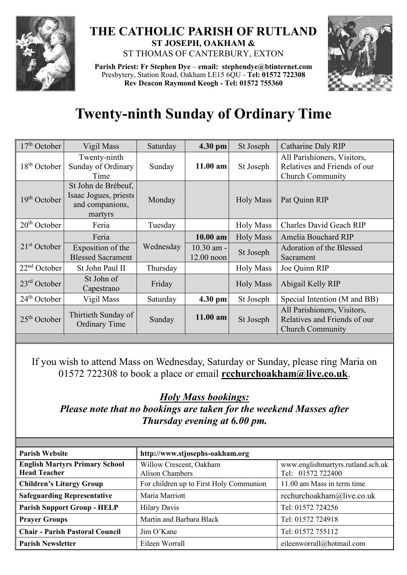

## **THE CATHOLIC PARISH OF RUTLAND ST JOSEPH, OAKHAM &**  ST THOMAS OF CANTERBURY, EXTON

**Parish Priest: Fr Stephen Dye** – **[email: stephendye@btinternet.com](mailto:email:%20%20stephendye@btinternet.com)** Presbytery, Station Road, Oakham LE15 6QU - **Tel: 01572 722308 Rev Deacon Raymond Keogh - Tel: 01572 755360**



## **Twenty-ninth Sunday of Ordinary Time**

| $17th$ October           | Vigil Mass                                                                 | Saturday  | 4.30 pm                      | St Joseph        | Catharine Daly RIP                                                                     |
|--------------------------|----------------------------------------------------------------------------|-----------|------------------------------|------------------|----------------------------------------------------------------------------------------|
| $18th$ October           | Twenty-ninth<br>Sunday of Ordinary<br>Time                                 | Sunday    | $11.00$ am                   | St Joseph        | All Parishioners, Visitors,<br>Relatives and Friends of our<br><b>Church Community</b> |
| 19 <sup>th</sup> October | St John de Brébeuf,<br>Isaac Jogues, priests<br>and companions,<br>martyrs | Monday    |                              | <b>Holy Mass</b> | Pat Quinn RIP                                                                          |
| $20th$ October           | Feria                                                                      | Tuesday   |                              | <b>Holy Mass</b> | <b>Charles David Geach RIP</b>                                                         |
| $21st$ October           | Feria                                                                      | Wednesday | $10.00$ am                   | <b>Holy Mass</b> | Amelia Bouchard RIP                                                                    |
|                          | Exposition of the<br><b>Blessed Sacrament</b>                              |           | $10.30$ am -<br>$12.00$ noon | St Joseph        | Adoration of the Blessed<br>Sacrament                                                  |
| $22nd$ October           | St John Paul II                                                            | Thursday  |                              | <b>Holy Mass</b> | Joe Quinn RIP                                                                          |
| $23rd$ October           | St John of<br>Capestrano                                                   | Friday    |                              | <b>Holy Mass</b> | Abigail Kelly RIP                                                                      |
| $24th$ October           | Vigil Mass                                                                 | Saturday  | $4.30$ pm                    | St Joseph        | Special Intention (M and BB)                                                           |
| $25th$ October           | Thirtieth Sunday of<br><b>Ordinary Time</b>                                | Sunday    | $11.00$ am                   | St Joseph        | All Parishioners, Visitors,<br>Relatives and Friends of our<br><b>Church Community</b> |

If you wish to attend Mass on Wednesday, Saturday or Sunday, please ring Maria on 01572 722308 to book a place or email **[rcchurchoakham@live.co.uk](mailto:rcchurchoakham@live.co.uk)**.

*Holy Mass bookings:*

*Please note that no bookings are taken for the weekend Masses after Thursday evening at 6.00 pm.*

| <b>Parish Website</b>                                        | http://www.stjosephs-oakham.org                   |                                                        |  |
|--------------------------------------------------------------|---------------------------------------------------|--------------------------------------------------------|--|
| <b>English Martyrs Primary School</b><br><b>Head Teacher</b> | Willow Crescent, Oakham<br><b>Alison Chambers</b> | www.englishmartyrs.rutland.sch.uk<br>Tel: 01572 722400 |  |
| <b>Children's Liturgy Group</b>                              | For children up to First Holy Communion           | 11.00 am Mass in term time                             |  |
| <b>Safeguarding Representative</b>                           | Maria Marriott                                    | rcchurchoakham@live.co.uk                              |  |
| <b>Parish Support Group - HELP</b>                           | <b>Hilary Davis</b>                               | Tel: 01572 724256                                      |  |
| <b>Prayer Groups</b>                                         | Martin and Barbara Black                          | Tel: 01572 724918                                      |  |
| <b>Chair - Parish Pastoral Council</b>                       | Jim O'Kane                                        | Tel: 01572 755112                                      |  |
| <b>Parish Newsletter</b>                                     | Eileen Worrall                                    | eileenworrall@hotmail.com                              |  |